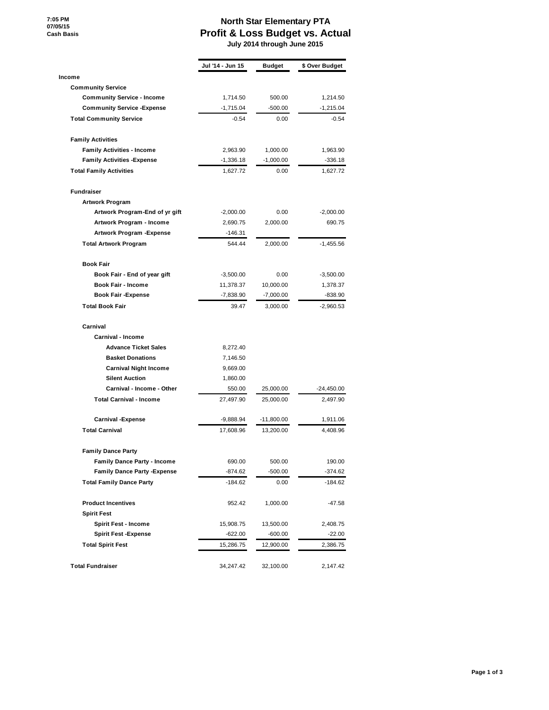**7:05 PM 07/05/15 Cash Basis**

**Income**

**Fundraiser**

## **North Star Elementary PTA Profit & Loss Budget vs. Actual July 2014 through June 2015**

**Jul '14 - Jun 15 Budget \$ Over Budget Community Service Community Service - Income** 1,714.50 500.00 1,214.50 **Community Service -Expense**  $-1,715.04$   $-500.00$   $-1,215.04$ **Total Community Service**  $-0.54$   $-0.54$  0.00  $-0.54$ **Family Activities Family Activities - Income** 2,963.90 1,000.00 1,963.90 **Family Activities -Expense**  $-1,336.18$   $-1,000.00$   $-336.18$ **Total Family Activities** 1,627.72 0.00 1,627.72 **Artwork Program Artwork Program-End of yr gift**  $-2,000.00$  0.00  $-2,000.00$ **Artwork Program - Income** 2,690.75 2,000.00 690.75 **Artwork Program -Expense** -146.31 **Total Artwork Program** 544.44 2,000.00 -1,455.56 **Book Fair Book Fair - End of year gift** -3,500.00 0.00 -3,500.00 **Book Fair - Income** 11,378.37 10,000.00 1,378.37 **Book Fair -Expense -7,838.90** -7,838.90 -7,000.00 -838.90 **Total Book Fair** 39.47 3,000.00 -2,960.53

## **Carnival Carnival - Income**

| 8,272.40    |              |              |
|-------------|--------------|--------------|
| 7,146.50    |              |              |
| 9,669.00    |              |              |
| 1.860.00    |              |              |
| 550.00      | 25,000.00    | $-24,450.00$ |
| 27,497.90   | 25,000.00    | 2,497.90     |
| $-9,888.94$ | $-11,800.00$ | 1,911.06     |
| 17,608.96   | 13,200.00    | 4,408.96     |
|             |              |              |
| 690.00      | 500.00       | 190.00       |
| $-874.62$   | $-500.00$    | $-374.62$    |
| $-184.62$   | 0.00         | $-184.62$    |
| 952.42      | 1.000.00     | $-47.58$     |
|             |              |              |
| 15,908.75   | 13,500.00    | 2,408.75     |
| $-622.00$   | $-600.00$    | $-22.00$     |
| 15,286.75   | 12,900.00    | 2,386.75     |
| 34,247.42   | 32,100.00    | 2,147.42     |
|             |              |              |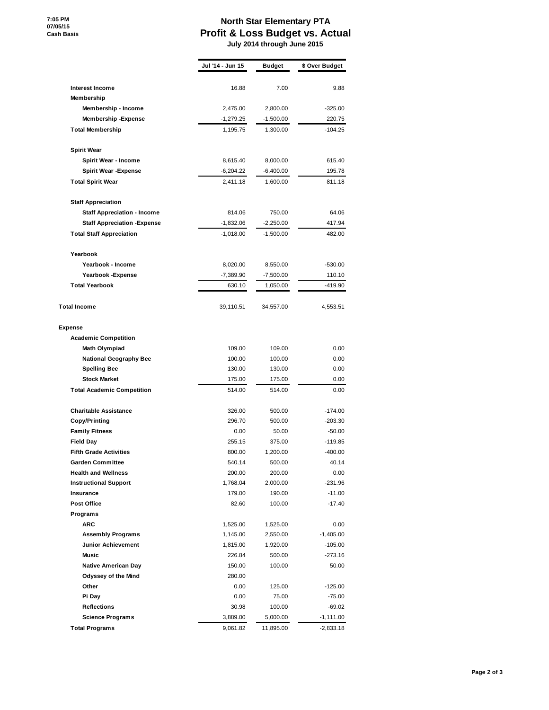**7:05 PM 07/05/15 Cash Basis**

## **North Star Elementary PTA Profit & Loss Budget vs. Actual**

 **July 2014 through June 2015**

|                                     | Jul '14 - Jun 15 | <b>Budget</b> | \$ Over Budget |
|-------------------------------------|------------------|---------------|----------------|
|                                     |                  |               |                |
| <b>Interest Income</b>              | 16.88            | 7.00          | 9.88           |
| Membership                          |                  |               |                |
| Membership - Income                 | 2,475.00         | 2,800.00      | $-325.00$      |
| Membership - Expense                | $-1,279.25$      | $-1,500.00$   | 220.75         |
| <b>Total Membership</b>             | 1,195.75         | 1,300.00      | -104.25        |
| <b>Spirit Wear</b>                  |                  |               |                |
| Spirit Wear - Income                | 8,615.40         | 8,000.00      | 615.40         |
| <b>Spirit Wear - Expense</b>        | $-6,204.22$      | $-6,400.00$   | 195.78         |
| <b>Total Spirit Wear</b>            | 2,411.18         | 1,600.00      | 811.18         |
| <b>Staff Appreciation</b>           |                  |               |                |
| <b>Staff Appreciation - Income</b>  | 814.06           | 750.00        | 64.06          |
| <b>Staff Appreciation - Expense</b> | $-1,832.06$      | $-2,250.00$   | 417.94         |
| <b>Total Staff Appreciation</b>     | $-1,018.00$      | $-1,500.00$   | 482.00         |
|                                     |                  |               |                |
| Yearbook                            |                  |               |                |
| Yearbook - Income                   | 8,020.00         | 8,550.00      | -530.00        |
| Yearbook - Expense                  | $-7,389.90$      | $-7,500.00$   | 110.10         |
| <b>Total Yearbook</b>               | 630.10           | 1,050.00      | -419.90        |
| <b>Total Income</b>                 | 39,110.51        | 34,557.00     | 4,553.51       |
| Expense                             |                  |               |                |
| <b>Academic Competition</b>         |                  |               |                |
| Math Olympiad                       | 109.00           | 109.00        | 0.00           |
| <b>National Geography Bee</b>       | 100.00           | 100.00        | 0.00           |
| <b>Spelling Bee</b>                 | 130.00           | 130.00        | 0.00           |
| <b>Stock Market</b>                 | 175.00           | 175.00        | 0.00           |
| <b>Total Academic Competition</b>   | 514.00           | 514.00        | 0.00           |
| <b>Charitable Assistance</b>        | 326.00           | 500.00        | -174.00        |
| <b>Copy/Printing</b>                | 296.70           | 500.00        | $-203.30$      |
| <b>Family Fitness</b>               | 0.00             | 50.00         | $-50.00$       |
| <b>Field Day</b>                    | 255.15           | 375.00        | -119.85        |
| <b>Fifth Grade Activities</b>       | 800.00           | 1,200.00      | -400.00        |
| <b>Garden Committee</b>             | 540.14           | 500.00        | 40.14          |
| <b>Health and Wellness</b>          | 200.00           | 200.00        | 0.00           |
| <b>Instructional Support</b>        | 1,768.04         | 2,000.00      | $-231.96$      |
| Insurance                           | 179.00           | 190.00        | $-11.00$       |
| <b>Post Office</b>                  | 82.60            | 100.00        | $-17.40$       |
| Programs                            |                  |               |                |
| <b>ARC</b>                          | 1,525.00         | 1,525.00      | 0.00           |
| <b>Assembly Programs</b>            | 1,145.00         | 2,550.00      | $-1,405.00$    |
| Junior Achievement                  | 1,815.00         | 1,920.00      | $-105.00$      |
| <b>Music</b>                        | 226.84           | 500.00        | $-273.16$      |
| <b>Native American Day</b>          | 150.00           | 100.00        | 50.00          |
| <b>Odyssey of the Mind</b>          | 280.00           |               |                |
| Other                               | 0.00             | 125.00        | $-125.00$      |
| Pi Day                              | 0.00             | 75.00         | $-75.00$       |
| <b>Reflections</b>                  | 30.98            | 100.00        | -69.02         |
| <b>Science Programs</b>             | 3,889.00         | 5,000.00      | $-1,111.00$    |
| <b>Total Programs</b>               | 9,061.82         | 11,895.00     | -2,833.18      |